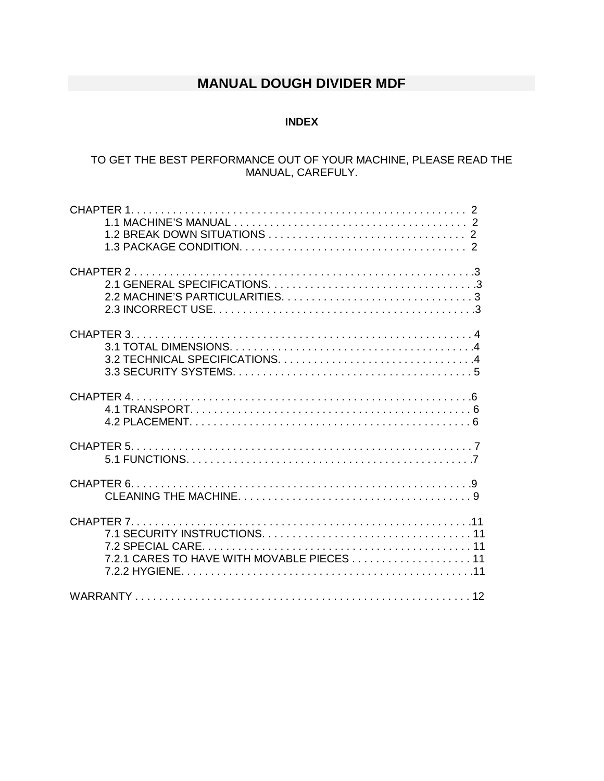# **MANUAL DOUGH DIVIDER MDF**

# **INDEX**

#### TO GET THE BEST PERFORMANCE OUT OF YOUR MACHINE, PLEASE READ THE MANUAL, CAREFULY.

| 7.2.1 CARES TO HAVE WITH MOVABLE PIECES 11 |
|--------------------------------------------|
|                                            |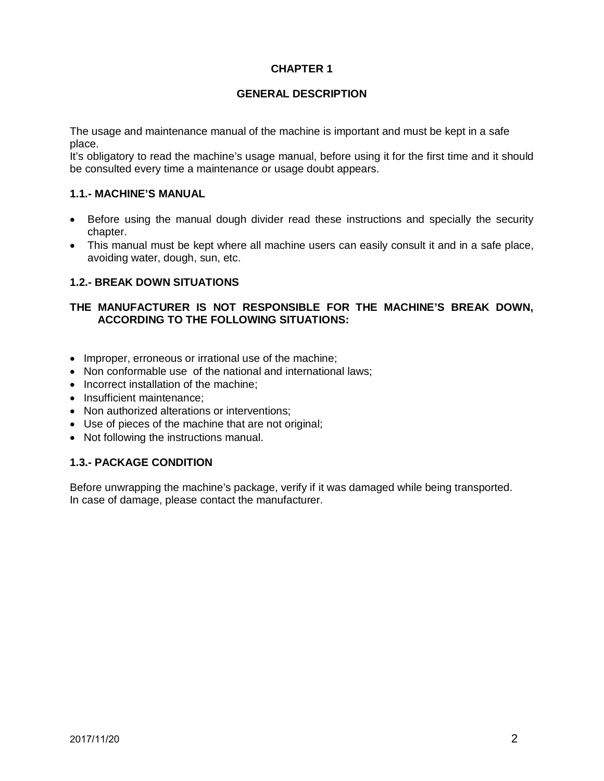# **GENERAL DESCRIPTION**

The usage and maintenance manual of the machine is important and must be kept in a safe place.

It's obligatory to read the machine's usage manual, before using it for the first time and it should be consulted every time a maintenance or usage doubt appears.

#### **1.1.- MACHINE'S MANUAL**

- Before using the manual dough divider read these instructions and specially the security chapter.
- This manual must be kept where all machine users can easily consult it and in a safe place, avoiding water, dough, sun, etc.

# **1.2.- BREAK DOWN SITUATIONS**

# **THE MANUFACTURER IS NOT RESPONSIBLE FOR THE MACHINE'S BREAK DOWN, ACCORDING TO THE FOLLOWING SITUATIONS:**

- Improper, erroneous or irrational use of the machine;
- Non conformable use of the national and international laws;
- Incorrect installation of the machine:
- Insufficient maintenance:
- Non authorized alterations or interventions;
- Use of pieces of the machine that are not original;
- Not following the instructions manual.

# **1.3.- PACKAGE CONDITION**

Before unwrapping the machine's package, verify if it was damaged while being transported. In case of damage, please contact the manufacturer.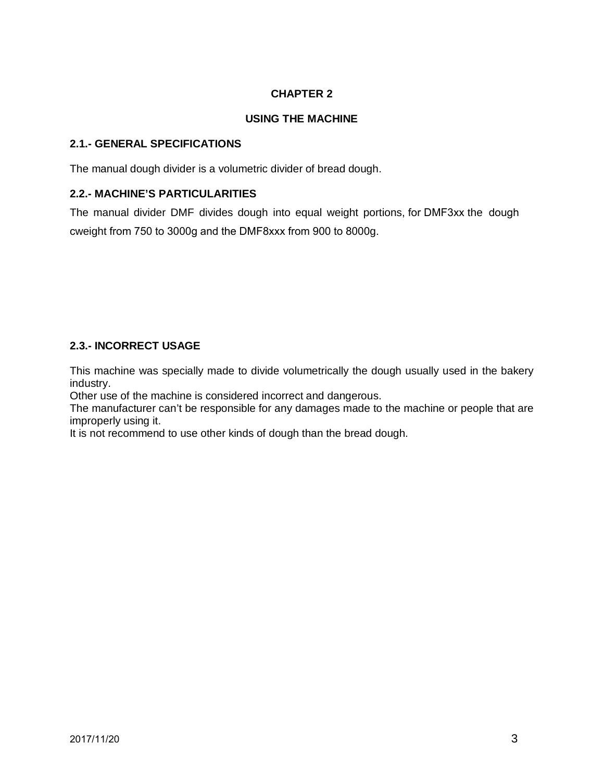### **USING THE MACHINE**

### **2.1.- GENERAL SPECIFICATIONS**

The manual dough divider is a volumetric divider of bread dough.

### **2.2.- MACHINE'S PARTICULARITIES**

The manual divider DMF divides dough into equal weight portions, for DMF3xx the dough cweight from 750 to 3000g and the DMF8xxx from 900 to 8000g.

# **2.3.- INCORRECT USAGE**

This machine was specially made to divide volumetrically the dough usually used in the bakery industry.

Other use of the machine is considered incorrect and dangerous.

The manufacturer can't be responsible for any damages made to the machine or people that are improperly using it.

It is not recommend to use other kinds of dough than the bread dough.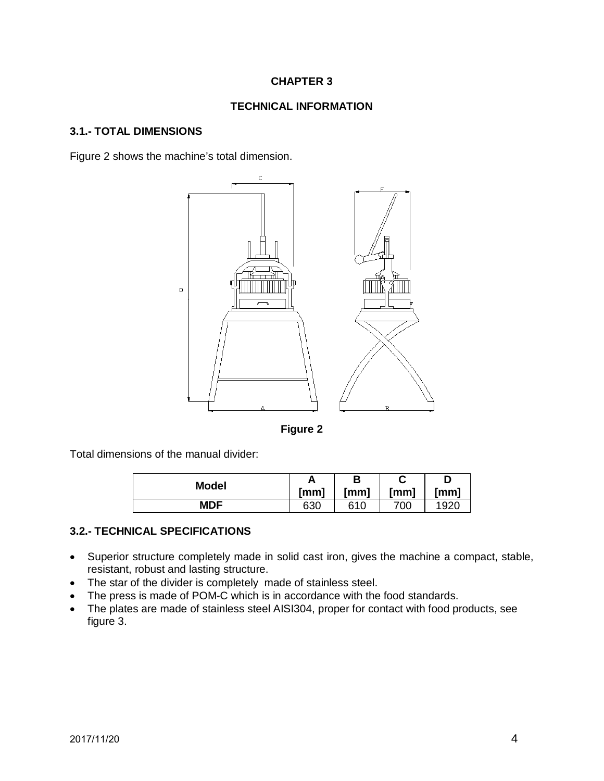# **TECHNICAL INFORMATION**

# **3.1.- TOTAL DIMENSIONS**

Figure 2 shows the machine's total dimension.



**Figure 2** 

Total dimensions of the manual divider:

| <b>Model</b> | D<br><u>r</u> |      | ັ    |      |
|--------------|---------------|------|------|------|
|              | [mm]          | [mm] | [mm] | [mm] |
| <b>MDF</b>   | 630           | 610  | 700  | 1920 |

# **3.2.- TECHNICAL SPECIFICATIONS**

- Superior structure completely made in solid cast iron, gives the machine a compact, stable, resistant, robust and lasting structure.
- The star of the divider is completely made of stainless steel.
- The press is made of POM-C which is in accordance with the food standards.
- The plates are made of stainless steel AISI304, proper for contact with food products, see figure 3.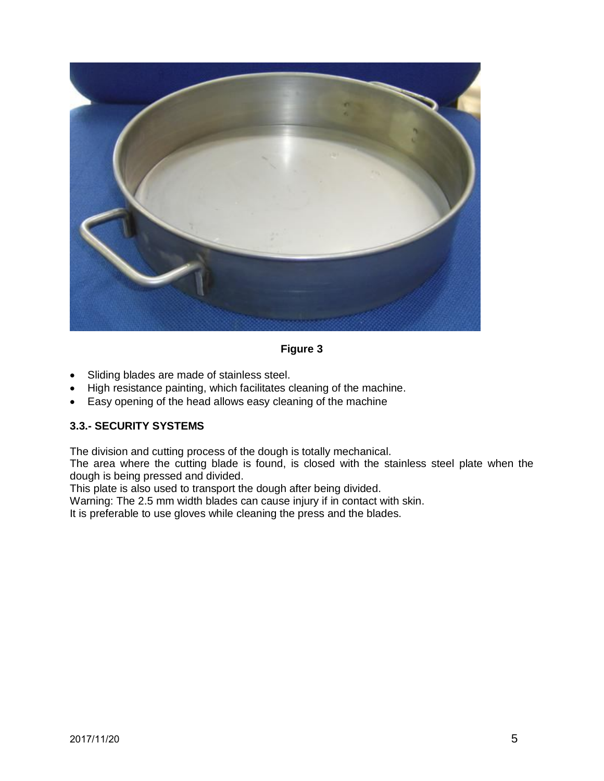

**Figure 3**

- Sliding blades are made of stainless steel.
- High resistance painting, which facilitates cleaning of the machine.
- Easy opening of the head allows easy cleaning of the machine

# **3.3.- SECURITY SYSTEMS**

The division and cutting process of the dough is totally mechanical.

The area where the cutting blade is found, is closed with the stainless steel plate when the dough is being pressed and divided.

This plate is also used to transport the dough after being divided.

Warning: The 2.5 mm width blades can cause injury if in contact with skin.

It is preferable to use gloves while cleaning the press and the blades.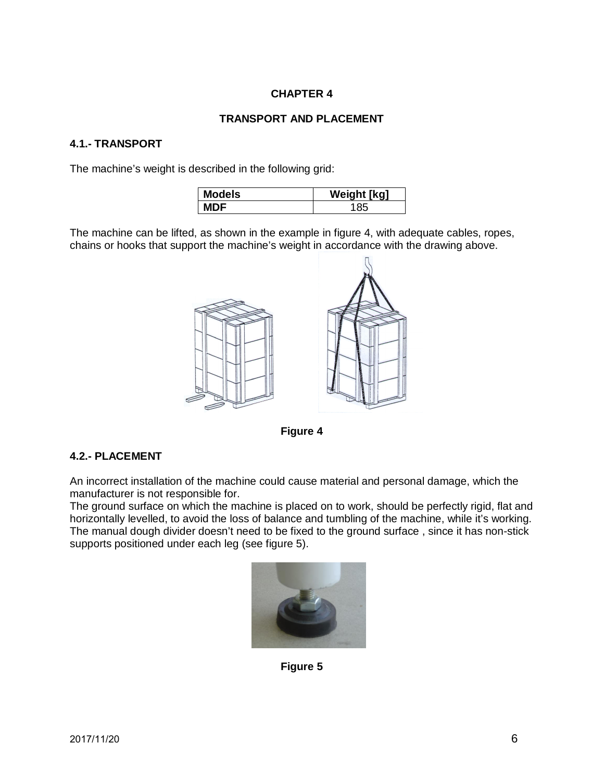### **TRANSPORT AND PLACEMENT**

#### **4.1.- TRANSPORT**

The machine's weight is described in the following grid:

| <b>Models</b> | <b>Weight [kg]</b> |
|---------------|--------------------|
| MDE           |                    |

The machine can be lifted, as shown in the example in figure 4, with adequate cables, ropes, chains or hooks that support the machine's weight in accordance with the drawing above.



**Figure 4** 

# **4.2.- PLACEMENT**

An incorrect installation of the machine could cause material and personal damage, which the manufacturer is not responsible for.

The ground surface on which the machine is placed on to work, should be perfectly rigid, flat and horizontally levelled, to avoid the loss of balance and tumbling of the machine, while it's working. The manual dough divider doesn't need to be fixed to the ground surface , since it has non-stick supports positioned under each leg (see figure 5).



**Figure 5**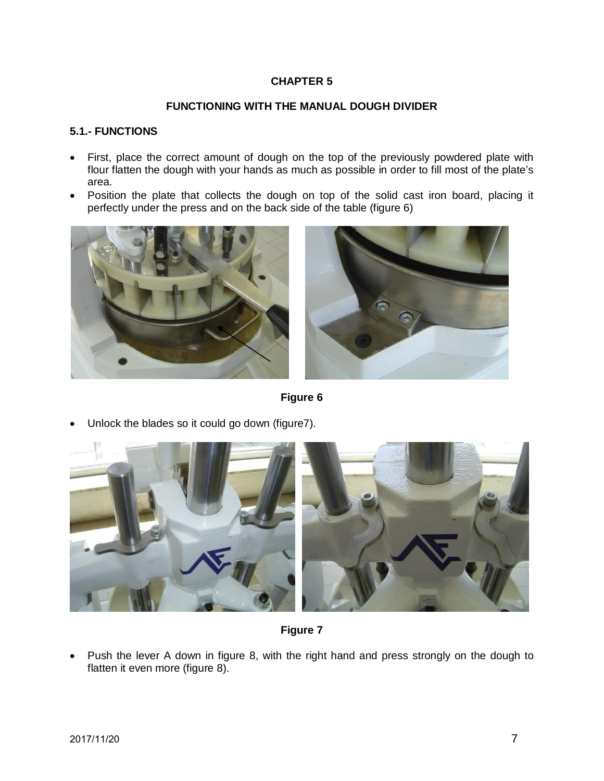#### **FUNCTIONING WITH THE MANUAL DOUGH DIVIDER**

# **5.1.- FUNCTIONS**

- First, place the correct amount of dough on the top of the previously powdered plate with flour flatten the dough with your hands as much as possible in order to fill most of the plate's area.
- Position the plate that collects the dough on top of the solid cast iron board, placing it perfectly under the press and on the back side of the table (figure 6)



**Figure 6** 

- 
- Unlock the blades so it could go down (figure7).

**Figure 7** 

• Push the lever A down in figure 8, with the right hand and press strongly on the dough to flatten it even more (figure 8).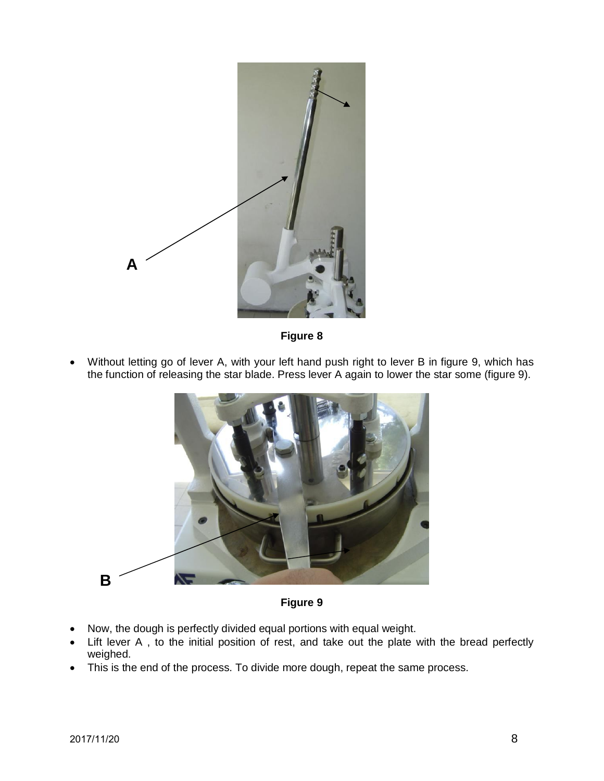

**Figure 8**

 Without letting go of lever A, with your left hand push right to lever B in figure 9, which has the function of releasing the star blade. Press lever A again to lower the star some (figure 9).



**Figure 9**

- Now, the dough is perfectly divided equal portions with equal weight.
- Lift lever A, to the initial position of rest, and take out the plate with the bread perfectly weighed.
- This is the end of the process. To divide more dough, repeat the same process.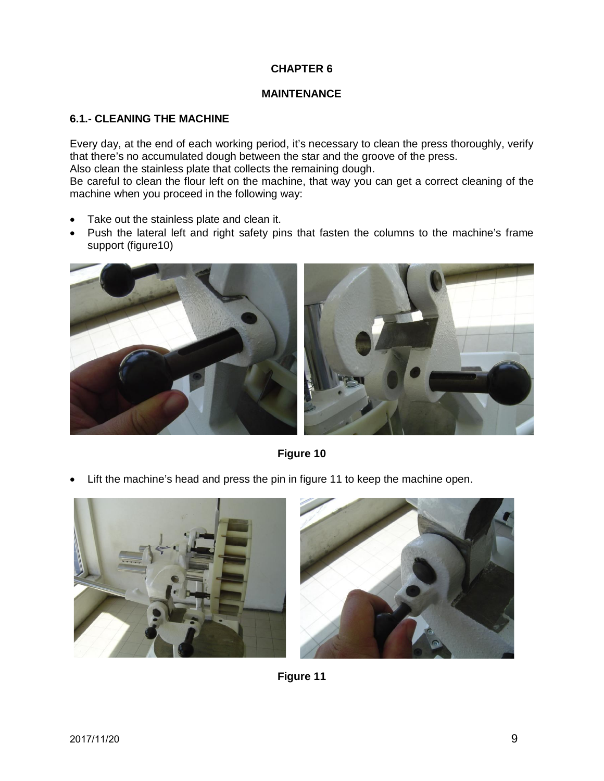# **MAINTENANCE**

# **6.1.- CLEANING THE MACHINE**

Every day, at the end of each working period, it's necessary to clean the press thoroughly, verify that there's no accumulated dough between the star and the groove of the press.

Also clean the stainless plate that collects the remaining dough.

Be careful to clean the flour left on the machine, that way you can get a correct cleaning of the machine when you proceed in the following way:

- Take out the stainless plate and clean it.
- Push the lateral left and right safety pins that fasten the columns to the machine's frame support (figure10)



**Figure 10**

Lift the machine's head and press the pin in figure 11 to keep the machine open.





**Figure 11**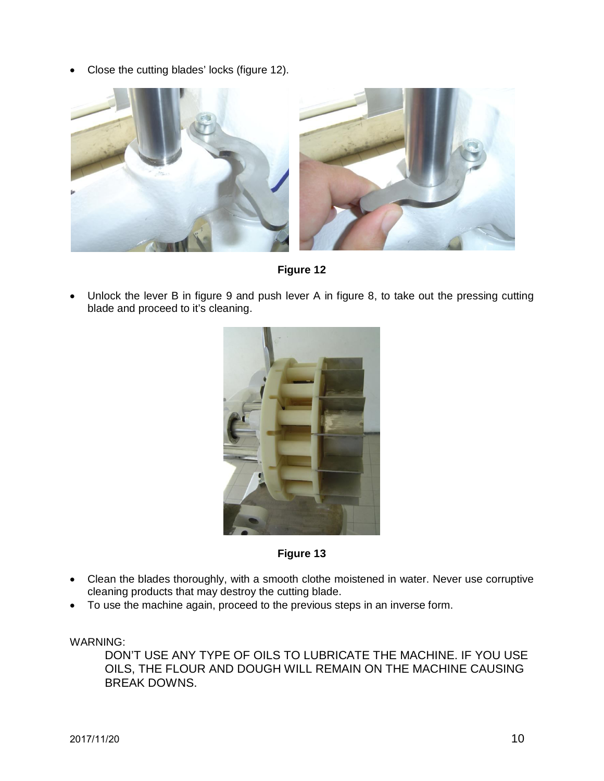Close the cutting blades' locks (figure 12).



**Figure 12**

 Unlock the lever B in figure 9 and push lever A in figure 8, to take out the pressing cutting blade and proceed to it's cleaning.



**Figure 13**

- Clean the blades thoroughly, with a smooth clothe moistened in water. Never use corruptive cleaning products that may destroy the cutting blade.
- To use the machine again, proceed to the previous steps in an inverse form.

WARNING:

DON'T USE ANY TYPE OF OILS TO LUBRICATE THE MACHINE. IF YOU USE OILS, THE FLOUR AND DOUGH WILL REMAIN ON THE MACHINE CAUSING BREAK DOWNS.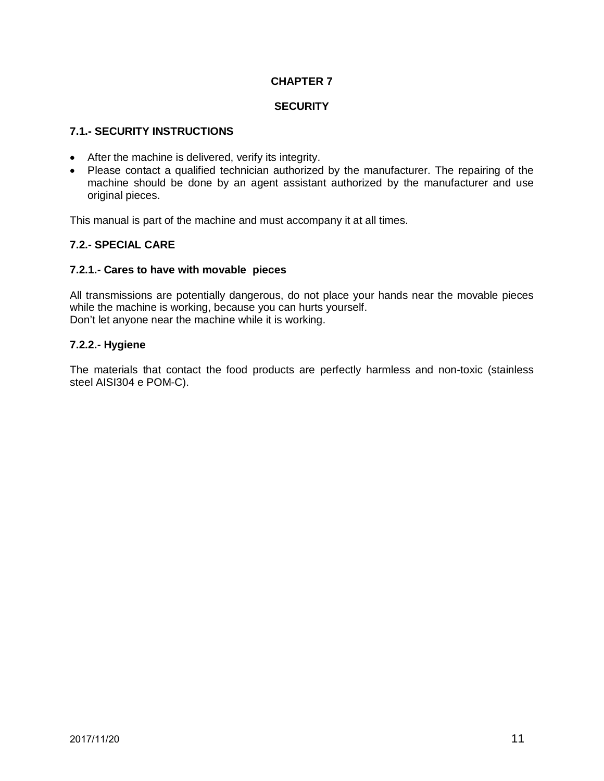#### **SECURITY**

### **7.1.- SECURITY INSTRUCTIONS**

- After the machine is delivered, verify its integrity.
- Please contact a qualified technician authorized by the manufacturer. The repairing of the machine should be done by an agent assistant authorized by the manufacturer and use original pieces.

This manual is part of the machine and must accompany it at all times.

# **7.2.- SPECIAL CARE**

#### **7.2.1.- Cares to have with movable pieces**

All transmissions are potentially dangerous, do not place your hands near the movable pieces while the machine is working, because you can hurts yourself. Don't let anyone near the machine while it is working.

#### **7.2.2.- Hygiene**

The materials that contact the food products are perfectly harmless and non-toxic (stainless steel AISI304 e POM-C).